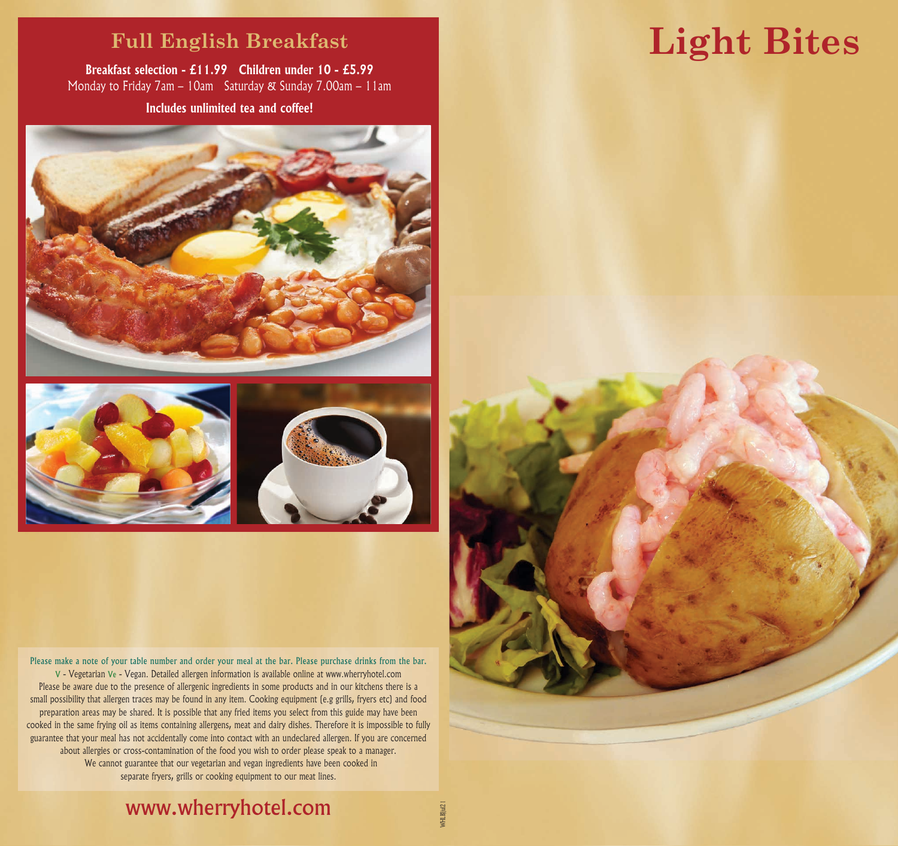### **Full English Breakfast**

**Breakfast selection - £11.99 Children under 10 - £5.99** Monday to Friday 7am – 10am Saturday & Sunday 7.00am – 11am **Includes unlimited tea and coffee!**





Please make a note of your table number and order your meal at the bar. Please purchase drinks from the bar. V - Vegetarian Ve - Vegan. Detailed allergen information is available online at www.wherryhotel.com Please be aware due to the presence of allergenic ingredients in some products and in our kitchens there is a small possibility that allergen traces may be found in any item. Cooking equipment (e.g grills, fryers etc) and food preparation areas may be shared. It is possible that any fried items you select from this guide may have been cooked in the same frying oil as items containing allergens, meat and dairy dishes. Therefore it is impossible to fully guarantee that your meal has not accidentally come into contact with an undeclared allergen. If you are concerned about allergies or cross-contamination of the food you wish to order please speak to a manager. We cannot guarantee that our vegetarian and vegan ingredients have been cooked in separate fryers, grills or cooking equipment to our meat lines.

# **Light Bites**



# www.wherryhotel.com